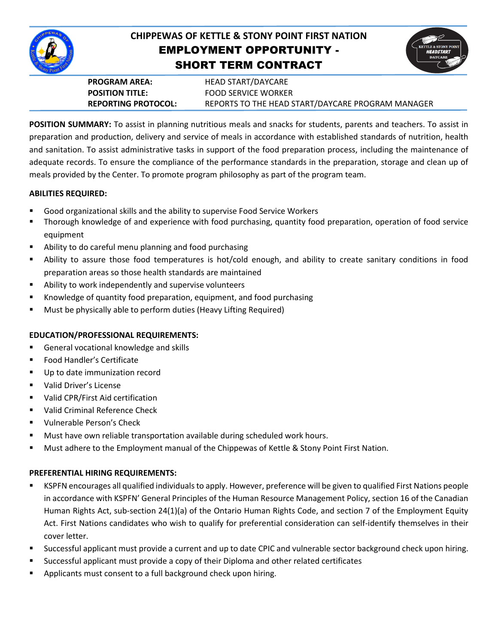

# **CHIPPEWAS OF KETTLE & STONY POINT FIRST NATION** EMPLOYMENT OPPORTUNITY - SHORT TERM CONTRACT



**PROGRAM AREA:** HEAD START/DAYCARE

**POSITION TITLE:** FOOD SERVICE WORKER **REPORTING PROTOCOL:** REPORTS TO THE HEAD START/DAYCARE PROGRAM MANAGER

**POSITION SUMMARY:** To assist in planning nutritious meals and snacks for students, parents and teachers. To assist in preparation and production, delivery and service of meals in accordance with established standards of nutrition, health and sanitation. To assist administrative tasks in support of the food preparation process, including the maintenance of adequate records. To ensure the compliance of the performance standards in the preparation, storage and clean up of meals provided by the Center. To promote program philosophy as part of the program team.

## **ABILITIES REQUIRED:**

- Good organizational skills and the ability to supervise Food Service Workers
- Thorough knowledge of and experience with food purchasing, quantity food preparation, operation of food service equipment
- Ability to do careful menu planning and food purchasing
- Ability to assure those food temperatures is hot/cold enough, and ability to create sanitary conditions in food preparation areas so those health standards are maintained
- Ability to work independently and supervise volunteers
- Knowledge of quantity food preparation, equipment, and food purchasing
- **Must be physically able to perform duties (Heavy Lifting Required)**

## **EDUCATION/PROFESSIONAL REQUIREMENTS:**

- General vocational knowledge and skills
- Food Handler's Certificate
- Up to date immunization record
- Valid Driver's License
- Valid CPR/First Aid certification
- Valid Criminal Reference Check
- **Vulnerable Person's Check**
- **Must have own reliable transportation available during scheduled work hours.**
- Must adhere to the Employment manual of the Chippewas of Kettle & Stony Point First Nation.

## **PREFERENTIAL HIRING REQUIREMENTS:**

- KSPFN encourages all qualified individuals to apply. However, preference will be given to qualified First Nations people in accordance with KSPFN' General Principles of the Human Resource Management Policy, section 16 of the Canadian Human Rights Act, sub-section 24(1)(a) of the Ontario Human Rights Code, and section 7 of the Employment Equity Act. First Nations candidates who wish to qualify for preferential consideration can self-identify themselves in their cover letter.
- Successful applicant must provide a current and up to date CPIC and vulnerable sector background check upon hiring.
- Successful applicant must provide a copy of their Diploma and other related certificates
- Applicants must consent to a full background check upon hiring.